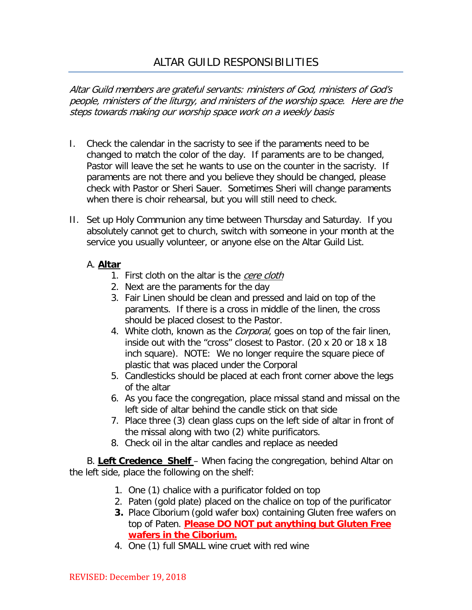# ALTAR GUILD RESPONSIBILITIES

Altar Guild members are grateful servants: ministers of God, ministers of God's people, ministers of the liturgy, and ministers of the worship space. Here are the steps towards making our worship space work on a weekly basis

- I. Check the calendar in the sacristy to see if the paraments need to be changed to match the color of the day. If paraments are to be changed, Pastor will leave the set he wants to use on the counter in the sacristy. If paraments are not there and you believe they should be changed, please check with Pastor or Sheri Sauer. Sometimes Sheri will change paraments when there is choir rehearsal, but you will still need to check.
- II. Set up Holy Communion any time between Thursday and Saturday. If you absolutely cannot get to church, switch with someone in your month at the service you usually volunteer, or anyone else on the Altar Guild List.

## A. **Altar**

- 1. First cloth on the altar is the *cere cloth*
- 2. Next are the paraments for the day
- 3. Fair Linen should be clean and pressed and laid on top of the paraments. If there is a cross in middle of the linen, the cross should be placed closest to the Pastor.
- 4. White cloth, known as the *Corporal*, goes on top of the fair linen, inside out with the "cross" closest to Pastor. (20 x 20 or 18 x 18 inch square). NOTE: We no longer require the square piece of plastic that was placed under the Corporal
- 5. Candlesticks should be placed at each front corner above the legs of the altar
- 6. As you face the congregation, place missal stand and missal on the left side of altar behind the candle stick on that side
- 7. Place three (3) clean glass cups on the left side of altar in front of the missal along with two (2) white purificators.
- 8. Check oil in the altar candles and replace as needed

B. **Left Credence Shelf** – When facing the congregation, behind Altar on the left side, place the following on the shelf:

- 1. One (1) chalice with a purificator folded on top
- 2. Paten (gold plate) placed on the chalice on top of the purificator
- **3.** Place Ciborium (gold wafer box) containing Gluten free wafers on top of Paten. **Please DO NOT put anything but Gluten Free wafers in the Ciborium.**
- 4. One (1) full SMALL wine cruet with red wine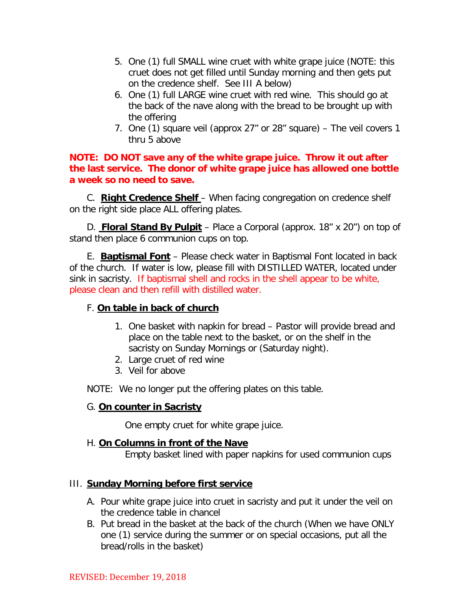- 5. One (1) full SMALL wine cruet with white grape juice (NOTE: this cruet does not get filled until Sunday morning and then gets put on the credence shelf. See III A below)
- 6. One (1) full LARGE wine cruet with red wine. This should go at the back of the nave along with the bread to be brought up with the offering
- 7. One (1) square veil (approx 27" or 28" square) The veil covers 1 thru 5 above

#### **NOTE: DO NOT save any of the white grape juice. Throw it out after the last service. The donor of white grape juice has allowed one bottle a week so no need to save.**

C. **Right Credence Shelf** – When facing congregation on credence shelf on the right side place ALL offering plates.

D. **Floral Stand By Pulpit** – Place a Corporal (approx. 18" x 20") on top of stand then place 6 communion cups on top.

E. **Baptismal Font** – Please check water in Baptismal Font located in back of the church. If water is low, please fill with DISTILLED WATER, located under sink in sacristy. If baptismal shell and rocks in the shell appear to be white, please clean and then refill with distilled water.

## F. **On table in back of church**

- 1. One basket with napkin for bread Pastor will provide bread and place on the table next to the basket, or on the shelf in the sacristy on Sunday Mornings or (Saturday night).
- 2. Large cruet of red wine
- 3. Veil for above

NOTE: We no longer put the offering plates on this table.

#### G. **On counter in Sacristy**

One empty cruet for white grape juice.

#### H. **On Columns in front of the Nave**

Empty basket lined with paper napkins for used communion cups

## III. **Sunday Morning before first service**

- A. Pour white grape juice into cruet in sacristy and put it under the veil on the credence table in chancel
- B. Put bread in the basket at the back of the church (When we have ONLY one (1) service during the summer or on special occasions, put all the bread/rolls in the basket)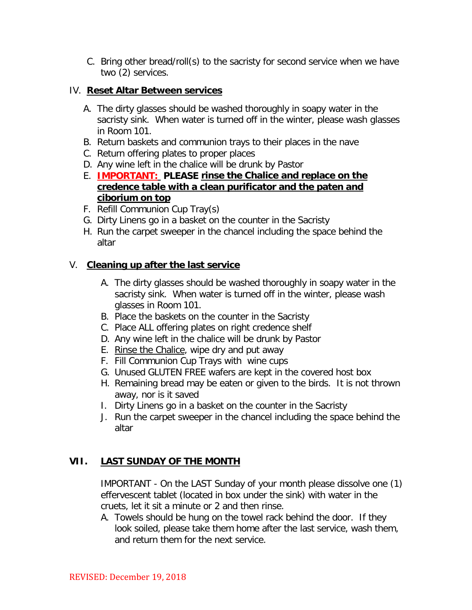C. Bring other bread/roll(s) to the sacristy for second service when we have two (2) services.

### IV. **Reset Altar Between services**

- A. The dirty glasses should be washed thoroughly in soapy water in the sacristy sink. When water is turned off in the winter, please wash glasses in Room 101.
- B. Return baskets and communion trays to their places in the nave
- C. Return offering plates to proper places
- D. Any wine left in the chalice will be drunk by Pastor
- E. **IMPORTANT: PLEASE rinse the Chalice and replace on the credence table with a clean purificator and the paten and ciborium on top**
- F. Refill Communion Cup Tray(s)
- G. Dirty Linens go in a basket on the counter in the Sacristy
- H. Run the carpet sweeper in the chancel including the space behind the altar

## V. **Cleaning up after the last service**

- A. The dirty glasses should be washed thoroughly in soapy water in the sacristy sink. When water is turned off in the winter, please wash glasses in Room 101.
- B. Place the baskets on the counter in the Sacristy
- C. Place ALL offering plates on right credence shelf
- D. Any wine left in the chalice will be drunk by Pastor
- E. Rinse the Chalice, wipe dry and put away
- F. Fill Communion Cup Trays with wine cups
- G. Unused GLUTEN FREE wafers are kept in the covered host box
- H. Remaining bread may be eaten or given to the birds. It is not thrown away, nor is it saved
- I. Dirty Linens go in a basket on the counter in the Sacristy
- J. Run the carpet sweeper in the chancel including the space behind the altar

## **VII. LAST SUNDAY OF THE MONTH**

IMPORTANT - On the LAST Sunday of your month please dissolve one (1) effervescent tablet (located in box under the sink) with water in the cruets, let it sit a minute or 2 and then rinse.

A. Towels should be hung on the towel rack behind the door. If they look soiled, please take them home after the last service, wash them, and return them for the next service.